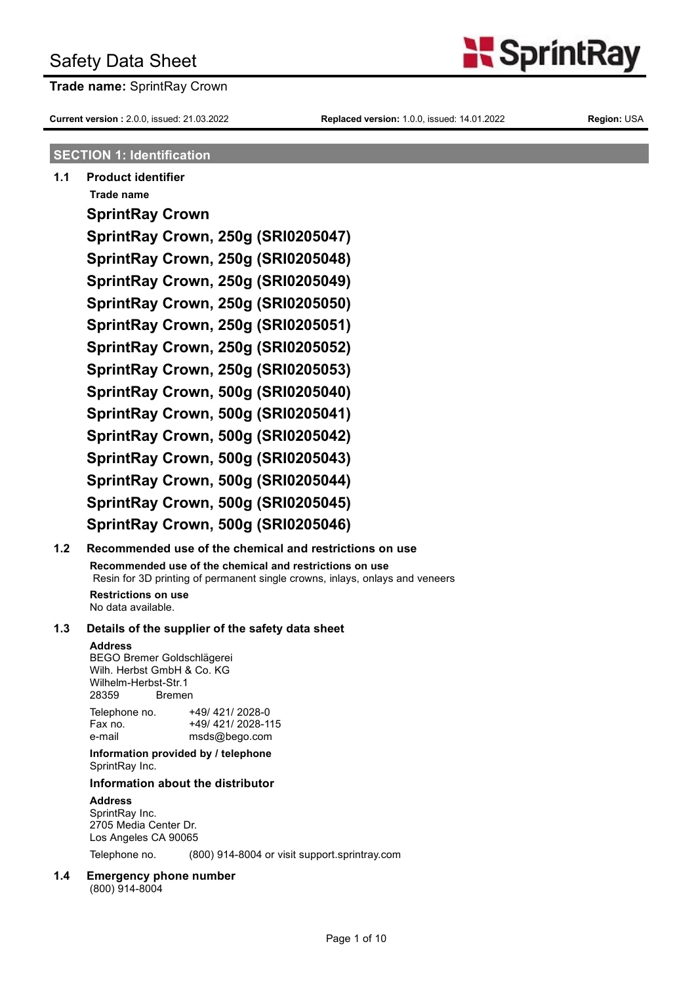# **Trade name:** SprintRay Crown

**Current version: 2.0.0, issued: 21.03.2022** 

**S**printRav

#### **SECTION 1: Identification**

**1.1 Product identifier**

Sprint

**Trade name SprintRay Crown SprintRay Crown, 250g (SRI0205047) SprintRay Crown, 250g (SRI0205048) SprintRay Crown, 250g (SRI0205049) SprintRay Crown, 250g (SRI0205050) SprintRay Crown, 250g (SRI0205051) SprintRay Crown, 250g (SRI0205052) SprintRay Crown, 250g (SRI0205053) SprintRay Crown, 500g (SRI0205040) SprintRay Crown, 500g (SRI0205041) SprintRay Crown, 500g (SRI0205042) SprintRay Crown, 500g (SRI0205043) SprintRay Crown, 500g (SRI0205044) SprintRay Crown, 500g (SRI0205045) SprintRay Crown, 500g (SRI0205046)**

### **1.2 Recommended use of the chemical and restrictions on use Recommended use of the chemical and restrictions on use** Resin for 3D printing of permanent single crowns, inlays, onlays and veneers **Restrictions on use** No data available.

# **1.3 Details of the supplier of the safety data sheet**

#### **Address**

BEGO Bremer Goldschlägerei Wilh. Herbst GmbH & Co. KG Wilhelm-Herbst-Str.1 28359 Bremen

| Telephone no. | +49/421/2028-0   |
|---------------|------------------|
| Fax no.       | +49/421/2028-115 |
| e-mail        | msds@bego.com    |

#### **Information provided by / telephone** SprintRay Inc.

#### **Information about the distributor**

# **Address**

SprintRay Inc. 2705 Media Center Dr. Los Angeles CA 90065

Telephone no. (800) 914-8004 or visit support.sprintray.com

#### **1.4 Emergency phone number** (800) 914-8004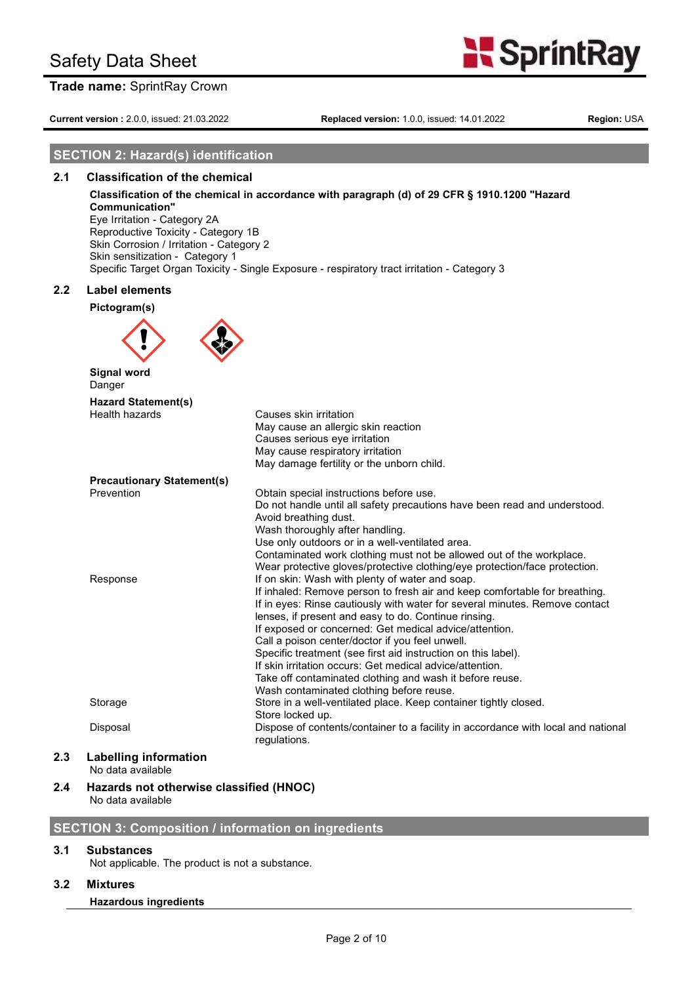Sprint

# **Trade name:** SprintRay Crown

**Current version: 2.0.0, issued: 21.03.2022** 

**SprintRay** 

**Replaced version:** 1.0.0, issued: 14.01.2022 **Replaced Version:** USA

# **SECTION 2: Hazard(s) identification**

# **2.1 Classification of the chemical**

| Classification of the chemical in accordance with paragraph (d) of 29 CFR § 1910.1200 "Hazard |
|-----------------------------------------------------------------------------------------------|
| Communication"                                                                                |
| Eye Irritation - Category 2A                                                                  |
| Reproductive Toxicity - Category 1B                                                           |
| Skin Corrosion / Irritation - Category 2                                                      |
| Skin sensitization - Category 1                                                               |
| Specific Target Organ Toxicity - Single Exposure - respiratory tract irritation - Category 3  |
|                                                                                               |

# **2.2 Label elements**

**Pictogram(s)**



| Signal word<br>Danger             |                                                                                                   |
|-----------------------------------|---------------------------------------------------------------------------------------------------|
| <b>Hazard Statement(s)</b>        |                                                                                                   |
| Health hazards                    | Causes skin irritation                                                                            |
|                                   | May cause an allergic skin reaction                                                               |
|                                   | Causes serious eye irritation                                                                     |
|                                   | May cause respiratory irritation                                                                  |
|                                   | May damage fertility or the unborn child.                                                         |
| <b>Precautionary Statement(s)</b> |                                                                                                   |
| Prevention                        | Obtain special instructions before use.                                                           |
|                                   | Do not handle until all safety precautions have been read and understood.                         |
|                                   | Avoid breathing dust.                                                                             |
|                                   | Wash thoroughly after handling.                                                                   |
|                                   | Use only outdoors or in a well-ventilated area.                                                   |
|                                   | Contaminated work clothing must not be allowed out of the workplace.                              |
|                                   | Wear protective gloves/protective clothing/eye protection/face protection.                        |
| Response                          | If on skin: Wash with plenty of water and soap.                                                   |
|                                   | If inhaled: Remove person to fresh air and keep comfortable for breathing.                        |
|                                   | If in eyes: Rinse cautiously with water for several minutes. Remove contact                       |
|                                   | lenses, if present and easy to do. Continue rinsing.                                              |
|                                   | If exposed or concerned: Get medical advice/attention.                                            |
|                                   | Call a poison center/doctor if you feel unwell.                                                   |
|                                   | Specific treatment (see first aid instruction on this label).                                     |
|                                   | If skin irritation occurs: Get medical advice/attention.                                          |
|                                   | Take off contaminated clothing and wash it before reuse.                                          |
|                                   | Wash contaminated clothing before reuse.                                                          |
| Storage                           | Store in a well-ventilated place. Keep container tightly closed.                                  |
|                                   | Store locked up.                                                                                  |
| Disposal                          | Dispose of contents/container to a facility in accordance with local and national<br>regulations. |
| l ahalling information            |                                                                                                   |

#### **2.3 Labelling information** No data available

#### **2.4 Hazards not otherwise classified (HNOC)** No data available

# **SECTION 3: Composition / information on ingredients**

# **3.1 Substances**

Not applicable. The product is not a substance.

# **3.2 Mixtures**

**Hazardous ingredients**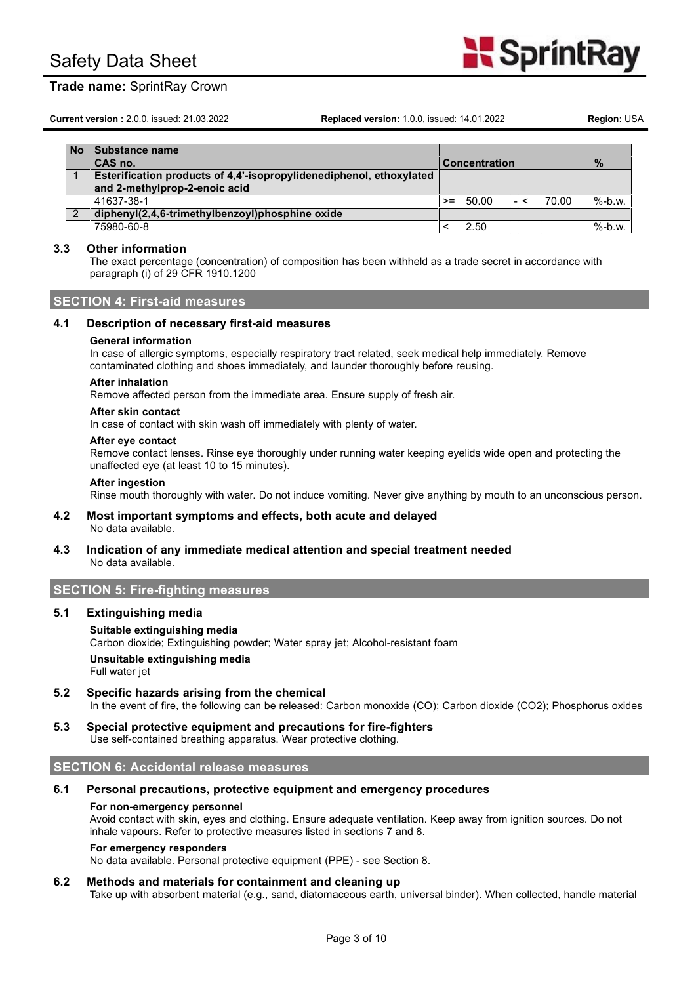# **Trade name:** SprintRay Crown

**Current version: 2.0.0, issued: 21.03.2022** 

**Replaced version:** 1.0.0, issued: 14.01.2022 **Region:** USA

**S**printRav

| No | Substance name                                                      |      |                      |      |       |           |
|----|---------------------------------------------------------------------|------|----------------------|------|-------|-----------|
|    | CAS no.                                                             |      | <b>Concentration</b> |      |       | $\%$      |
|    | Esterification products of 4,4'-isopropylidenediphenol, ethoxylated |      |                      |      |       |           |
|    | and 2-methylprop-2-enoic acid                                       |      |                      |      |       |           |
|    | 41637-38-1                                                          | $>=$ | 50.00                | $-<$ | 70.00 | $% -b.w.$ |
|    | diphenyl(2,4,6-trimethylbenzoyl)phosphine oxide                     |      |                      |      |       |           |
|    | 75980-60-8                                                          |      | 2.50                 |      |       | $% -b.w.$ |

#### **3.3 Other information**

The exact percentage (concentration) of composition has been withheld as a trade secret in accordance with paragraph (i) of 29 CFR 1910.1200

#### **SECTION 4: First-aid measures**

#### **4.1 Description of necessary first-aid measures**

#### **General information**

In case of allergic symptoms, especially respiratory tract related, seek medical help immediately. Remove contaminated clothing and shoes immediately, and launder thoroughly before reusing.

#### **After inhalation**

Remove affected person from the immediate area. Ensure supply of fresh air.

#### **After skin contact**

In case of contact with skin wash off immediately with plenty of water.

#### **After eye contact**

Remove contact lenses. Rinse eye thoroughly under running water keeping eyelids wide open and protecting the unaffected eye (at least 10 to 15 minutes).

#### **After ingestion**

Rinse mouth thoroughly with water. Do not induce vomiting. Never give anything by mouth to an unconscious person.

#### **4.2 Most important symptoms and effects, both acute and delayed** No data available.

**4.3 Indication of any immediate medical attention and special treatment needed** No data available.

# **SECTION 5: Fire-fighting measures**

#### **5.1 Extinguishing media**

**Suitable extinguishing media**

Carbon dioxide; Extinguishing powder; Water spray jet; Alcohol-resistant foam

#### **Unsuitable extinguishing media**

Full water jet

#### **5.2 Specific hazards arising from the chemical**

In the event of fire, the following can be released: Carbon monoxide (CO); Carbon dioxide (CO2); Phosphorus oxides

**5.3 Special protective equipment and precautions for fire-fighters** Use self-contained breathing apparatus. Wear protective clothing.

### **SECTION 6: Accidental release measures**

#### **6.1 Personal precautions, protective equipment and emergency procedures**

#### **For non-emergency personnel**

Avoid contact with skin, eyes and clothing. Ensure adequate ventilation. Keep away from ignition sources. Do not inhale vapours. Refer to protective measures listed in sections 7 and 8.

#### **For emergency responders**

No data available. Personal protective equipment (PPE) - see Section 8.

#### **6.2 Methods and materials for containment and cleaning up**

Take up with absorbent material (e.g., sand, diatomaceous earth, universal binder). When collected, handle material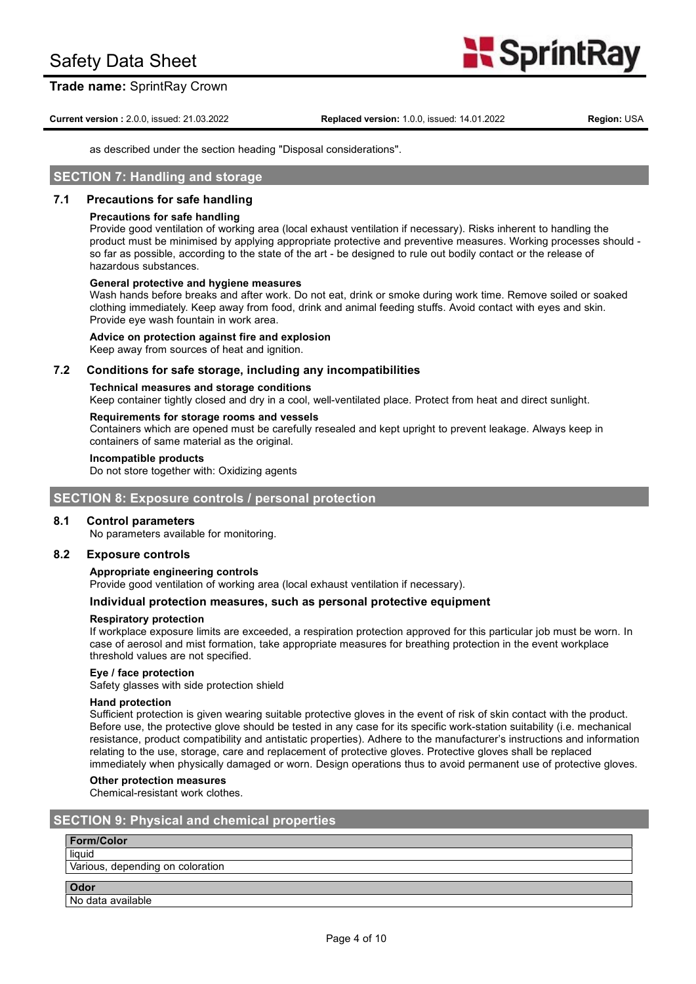# **Trade name:** SprintRay Crown

**Current version: 2.0.0, issued: 21.03.2022** 

**Replaced version:** 1.0.0, issued: 14.01.2022 **Region:** USA

**SprintRay** 

as described under the section heading "Disposal considerations".

# **SECTION 7: Handling and storage**

#### **7.1 Precautions for safe handling**

#### **Precautions for safe handling**

Provide good ventilation of working area (local exhaust ventilation if necessary). Risks inherent to handling the product must be minimised by applying appropriate protective and preventive measures. Working processes should so far as possible, according to the state of the art - be designed to rule out bodily contact or the release of hazardous substances.

#### **General protective and hygiene measures**

Wash hands before breaks and after work. Do not eat, drink or smoke during work time. Remove soiled or soaked clothing immediately. Keep away from food, drink and animal feeding stuffs. Avoid contact with eyes and skin. Provide eye wash fountain in work area.

#### **Advice on protection against fire and explosion**

Keep away from sources of heat and ignition.

#### **7.2 Conditions for safe storage, including any incompatibilities**

#### **Technical measures and storage conditions**

Keep container tightly closed and dry in a cool, well-ventilated place. Protect from heat and direct sunlight.

#### **Requirements for storage rooms and vessels**

Containers which are opened must be carefully resealed and kept upright to prevent leakage. Always keep in containers of same material as the original.

#### **Incompatible products**

Do not store together with: Oxidizing agents

## **SECTION 8: Exposure controls / personal protection**

#### **8.1 Control parameters**

No parameters available for monitoring.

#### **8.2 Exposure controls**

#### **Appropriate engineering controls**

Provide good ventilation of working area (local exhaust ventilation if necessary).

#### **Individual protection measures, such as personal protective equipment**

#### **Respiratory protection**

If workplace exposure limits are exceeded, a respiration protection approved for this particular job must be worn. In case of aerosol and mist formation, take appropriate measures for breathing protection in the event workplace threshold values are not specified.

#### **Eye / face protection**

Safety glasses with side protection shield

#### **Hand protection**

Sufficient protection is given wearing suitable protective gloves in the event of risk of skin contact with the product. Before use, the protective glove should be tested in any case for its specific work-station suitability (i.e. mechanical resistance, product compatibility and antistatic properties). Adhere to the manufacturer's instructions and information relating to the use, storage, care and replacement of protective gloves. Protective gloves shall be replaced immediately when physically damaged or worn. Design operations thus to avoid permanent use of protective gloves.

#### **Other protection measures**

Chemical-resistant work clothes.

# **SECTION 9: Physical and chemical properties**

# **Form/Color**

liquid Various, depending on coloration

**Odor**

No data available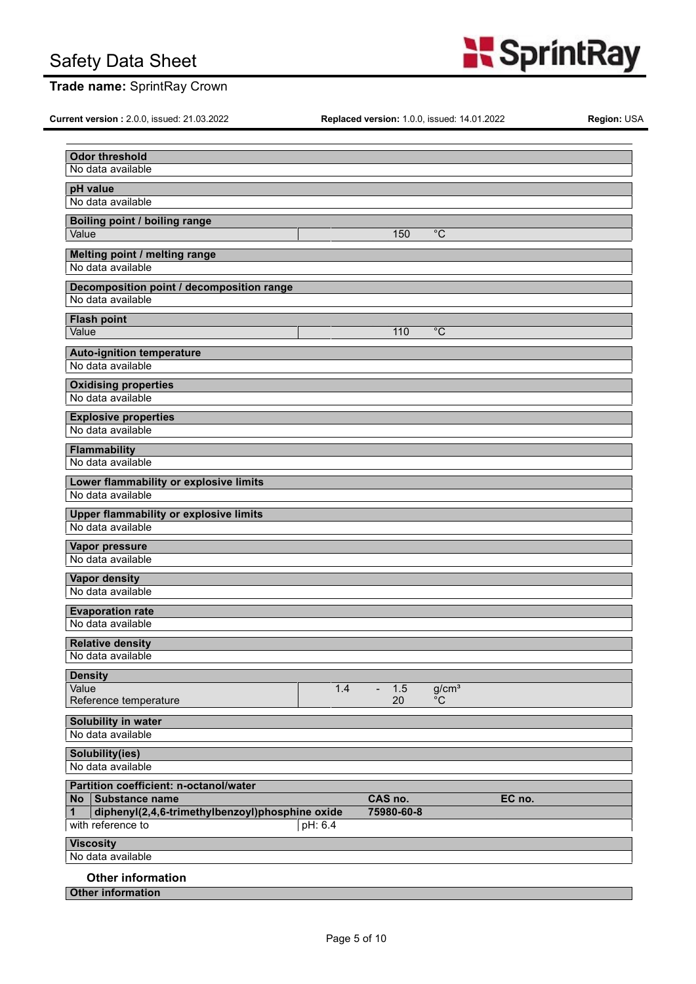

# **Trade name:** SprintRay Crown

**Current version: 2.0.0, issued: 21.03.2022** 

**Replaced version:** 1.0.0, issued: 14.01.2022 **Replaced Version:** USA

| <b>Odor threshold</b>                                                     |         |                            |                                  |        |  |
|---------------------------------------------------------------------------|---------|----------------------------|----------------------------------|--------|--|
| No data available                                                         |         |                            |                                  |        |  |
| pH value                                                                  |         |                            |                                  |        |  |
| No data available                                                         |         |                            |                                  |        |  |
| Boiling point / boiling range                                             |         |                            |                                  |        |  |
| Value                                                                     |         | 150                        | $^{\circ}C$                      |        |  |
| <b>Melting point / melting range</b>                                      |         |                            |                                  |        |  |
| No data available                                                         |         |                            |                                  |        |  |
| Decomposition point / decomposition range                                 |         |                            |                                  |        |  |
| No data available                                                         |         |                            |                                  |        |  |
| <b>Flash point</b>                                                        |         |                            |                                  |        |  |
| Value                                                                     |         | 110                        | $^{\circ}C$                      |        |  |
|                                                                           |         |                            |                                  |        |  |
| <b>Auto-ignition temperature</b><br>No data available                     |         |                            |                                  |        |  |
|                                                                           |         |                            |                                  |        |  |
| <b>Oxidising properties</b><br>No data available                          |         |                            |                                  |        |  |
|                                                                           |         |                            |                                  |        |  |
| <b>Explosive properties</b><br>No data available                          |         |                            |                                  |        |  |
|                                                                           |         |                            |                                  |        |  |
| <b>Flammability</b><br>No data available                                  |         |                            |                                  |        |  |
|                                                                           |         |                            |                                  |        |  |
| Lower flammability or explosive limits<br>No data available               |         |                            |                                  |        |  |
|                                                                           |         |                            |                                  |        |  |
| <b>Upper flammability or explosive limits</b><br>No data available        |         |                            |                                  |        |  |
|                                                                           |         |                            |                                  |        |  |
| Vapor pressure<br>No data available                                       |         |                            |                                  |        |  |
|                                                                           |         |                            |                                  |        |  |
| Vapor density<br>No data available                                        |         |                            |                                  |        |  |
|                                                                           |         |                            |                                  |        |  |
| <b>Evaporation rate</b>                                                   |         |                            |                                  |        |  |
| No data available                                                         |         |                            |                                  |        |  |
| <b>Relative density</b>                                                   |         |                            |                                  |        |  |
| No data available                                                         |         |                            |                                  |        |  |
| <b>Density</b>                                                            |         |                            |                                  |        |  |
| Value<br>Reference temperature                                            | 1.4     | 1.5<br>$\frac{1}{2}$<br>20 | g/cm <sup>3</sup><br>$^{\circ}C$ |        |  |
|                                                                           |         |                            |                                  |        |  |
| Solubility in water                                                       |         |                            |                                  |        |  |
| No data available                                                         |         |                            |                                  |        |  |
| Solubility(ies)                                                           |         |                            |                                  |        |  |
| No data available                                                         |         |                            |                                  |        |  |
| Partition coefficient: n-octanol/water                                    |         |                            |                                  |        |  |
| No Substance name<br>diphenyl(2,4,6-trimethylbenzoyl)phosphine oxide<br>1 |         | CAS no.<br>75980-60-8      |                                  | EC no. |  |
| with reference to                                                         | pH: 6.4 |                            |                                  |        |  |
|                                                                           |         |                            |                                  |        |  |
| <b>Viscosity</b><br>No data available                                     |         |                            |                                  |        |  |
|                                                                           |         |                            |                                  |        |  |
| <b>Other information</b>                                                  |         |                            |                                  |        |  |
| <b>Other information</b>                                                  |         |                            |                                  |        |  |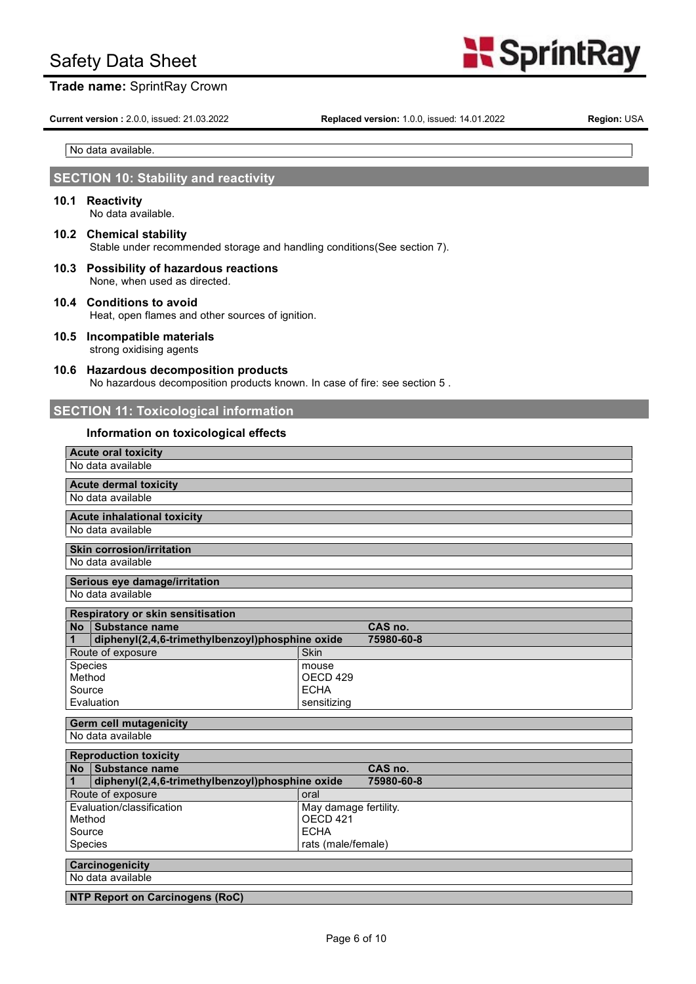# **Trade name:** SprintRay Crown

**Current version: 2.0.0, issued: 21.03.2022** 

**Replaced version:** 1.0.0, issued: 14.01.2022 **Replaced Version:** USA

SprintRay

Sprint No data available.

# **SECTION 10: Stability and reactivity**

**10.1 Reactivity** No data available.

**10.2 Chemical stability**

Stable under recommended storage and handling conditions(See section 7).

- **10.3 Possibility of hazardous reactions** None, when used as directed.
- **10.4 Conditions to avoid** Heat, open flames and other sources of ignition.
- **10.5 Incompatible materials** strong oxidising agents

#### **10.6 Hazardous decomposition products**

No hazardous decomposition products known. In case of fire: see section 5 .

# **SECTION 11: Toxicological information**

#### **Information on toxicological effects**

| <b>Acute oral toxicity</b>                           |                       |            |  |  |  |
|------------------------------------------------------|-----------------------|------------|--|--|--|
| No data available                                    |                       |            |  |  |  |
| <b>Acute dermal toxicity</b>                         |                       |            |  |  |  |
| No data available                                    |                       |            |  |  |  |
| <b>Acute inhalational toxicity</b>                   |                       |            |  |  |  |
| No data available                                    |                       |            |  |  |  |
| <b>Skin corrosion/irritation</b>                     |                       |            |  |  |  |
| No data available                                    |                       |            |  |  |  |
| Serious eye damage/irritation                        |                       |            |  |  |  |
| No data available                                    |                       |            |  |  |  |
| Respiratory or skin sensitisation                    |                       |            |  |  |  |
| Substance name<br><b>No</b>                          |                       | CAS no.    |  |  |  |
| diphenyl(2,4,6-trimethylbenzoyl)phosphine oxide<br>1 |                       | 75980-60-8 |  |  |  |
| Route of exposure                                    | <b>Skin</b>           |            |  |  |  |
| Species                                              | mouse                 |            |  |  |  |
| Method                                               | OECD <sub>429</sub>   |            |  |  |  |
| Source                                               | <b>ECHA</b>           |            |  |  |  |
| Evaluation                                           | sensitizing           |            |  |  |  |
| <b>Germ cell mutagenicity</b>                        |                       |            |  |  |  |
| No data available                                    |                       |            |  |  |  |
| <b>Reproduction toxicity</b>                         |                       |            |  |  |  |
| No Substance name                                    |                       | CAS no.    |  |  |  |
| diphenyl(2,4,6-trimethylbenzoyl)phosphine oxide<br>1 |                       | 75980-60-8 |  |  |  |
| Route of exposure                                    | oral                  |            |  |  |  |
| Evaluation/classification                            | May damage fertility. |            |  |  |  |
| OECD <sub>421</sub><br>Method                        |                       |            |  |  |  |
| <b>ECHA</b><br>Source                                |                       |            |  |  |  |
| Species<br>rats (male/female)                        |                       |            |  |  |  |
| Carcinogenicity                                      |                       |            |  |  |  |
| No data available                                    |                       |            |  |  |  |
| <b>NTP Report on Carcinogens (RoC)</b>               |                       |            |  |  |  |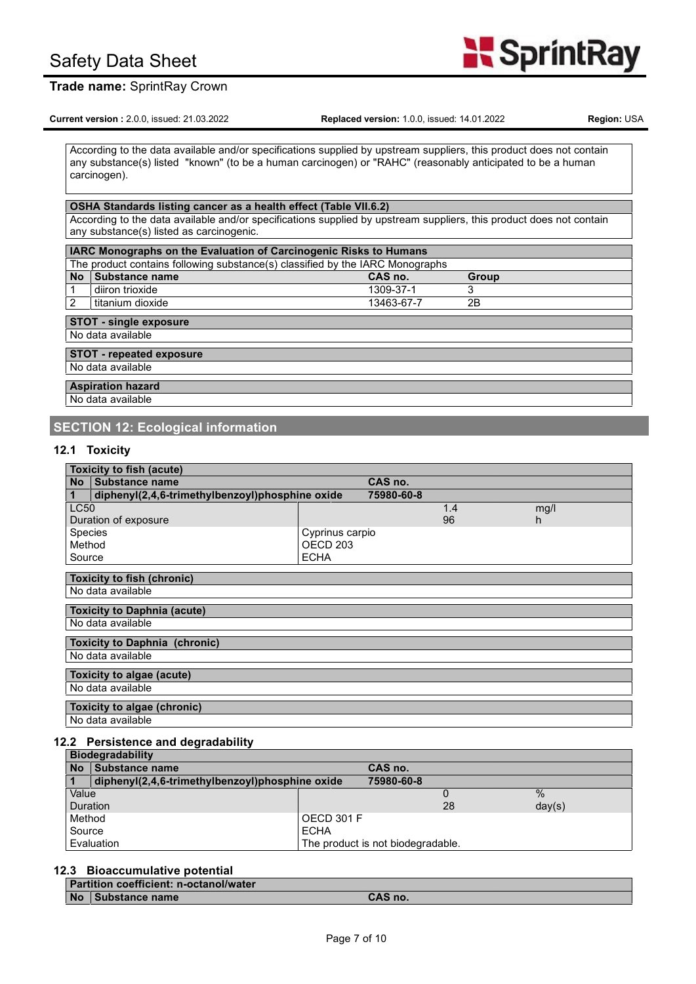

# **Trade name:** SprintRay Crown

**Current version: 2.0.0, issued: 21.03.2022** 

**Replaced version:** 1.0.0, issued: 14.01.2022 **Replaced Version:** USA

Sprint According to the data available and/or specifications supplied by upstream suppliers, this product does not contain any substance(s) listed "known" (to be a human carcinogen) or "RAHC" (reasonably anticipated to be a human carcinogen).

#### **OSHA Standards listing cancer as a health effect (Table VII.6.2)**

According to the data available and/or specifications supplied by upstream suppliers, this product does not contain any substance(s) listed as carcinogenic.

| <b>IARC Monographs on the Evaluation of Carcinogenic Risks to Humans</b> |                                                                               |            |              |  |  |  |
|--------------------------------------------------------------------------|-------------------------------------------------------------------------------|------------|--------------|--|--|--|
|                                                                          | The product contains following substance(s) classified by the IARC Monographs |            |              |  |  |  |
| <b>No</b>                                                                | Substance name                                                                | CAS no.    | <b>Group</b> |  |  |  |
|                                                                          | diiron trioxide                                                               | 1309-37-1  | 3            |  |  |  |
| 2                                                                        | titanium dioxide                                                              | 13463-67-7 | 2B           |  |  |  |
|                                                                          | <b>STOT - single exposure</b><br>No data available                            |            |              |  |  |  |
| <b>STOT - repeated exposure</b>                                          |                                                                               |            |              |  |  |  |
|                                                                          | No data available                                                             |            |              |  |  |  |
| <b>Aspiration hazard</b><br>No data available                            |                                                                               |            |              |  |  |  |

# **SECTION 12: Ecological information**

#### **12.1 Toxicity**

| <b>Toxicity to fish (acute)</b>                      |                     |            |      |  |  |
|------------------------------------------------------|---------------------|------------|------|--|--|
| No Substance name                                    |                     | CAS no.    |      |  |  |
| diphenyl(2,4,6-trimethylbenzoyl)phosphine oxide<br>1 |                     | 75980-60-8 |      |  |  |
| <b>LC50</b>                                          |                     | 1.4        | mg/l |  |  |
| Duration of exposure                                 |                     | 96         | h    |  |  |
| Species                                              | Cyprinus carpio     |            |      |  |  |
| Method                                               | OECD <sub>203</sub> |            |      |  |  |
| Source                                               | <b>ECHA</b>         |            |      |  |  |
| <b>Toxicity to fish (chronic)</b>                    |                     |            |      |  |  |
|                                                      |                     |            |      |  |  |
| No data available                                    |                     |            |      |  |  |
| <b>Toxicity to Daphnia (acute)</b>                   |                     |            |      |  |  |
| No data available                                    |                     |            |      |  |  |
| <b>Toxicity to Daphnia (chronic)</b>                 |                     |            |      |  |  |
| No data available                                    |                     |            |      |  |  |
|                                                      |                     |            |      |  |  |
| Toxicity to algae (acute)                            |                     |            |      |  |  |
| No data available                                    |                     |            |      |  |  |
| <b>Toxicity to algae (chronic)</b>                   |                     |            |      |  |  |
| No data available                                    |                     |            |      |  |  |

#### **12.2 Persistence and degradability**

| <b>Biodegradability</b>                                      |             |            |        |  |
|--------------------------------------------------------------|-------------|------------|--------|--|
| <b>No</b><br>l Substance name                                |             | CAS no.    |        |  |
| $\vert$ 1<br>diphenyl(2,4,6-trimethylbenzoyl)phosphine oxide |             | 75980-60-8 |        |  |
| Value                                                        |             |            | $\%$   |  |
| <b>Duration</b>                                              |             | 28         | day(s) |  |
| Method                                                       | OECD 301 F  |            |        |  |
| Source                                                       | <b>ECHA</b> |            |        |  |
| Evaluation<br>The product is not biodegradable.              |             |            |        |  |

#### **12.3 Bioaccumulative potential**

| <b>Partition coefficient: n-octanol/water</b> |                  |         |  |
|-----------------------------------------------|------------------|---------|--|
| <b>No</b>                                     | I Substance name | CAS no. |  |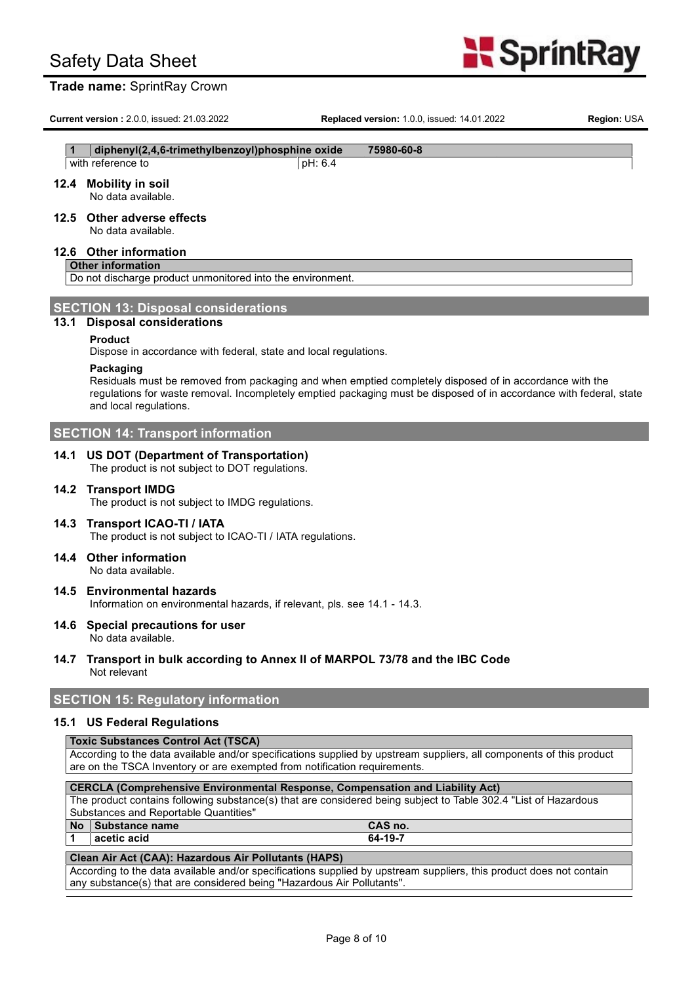# **Trade name:** SprintRay Crown

**Current version: 2.0.0, issued: 21.03.2022** 

**Replaced version:** 1.0.0, issued: 14.01.2022 **Region:** USA

**S**printRav

|                   | diphenyl(2,4,6-trimethylbenzoyl)phosphine oxide | 75980-60-8 |  |
|-------------------|-------------------------------------------------|------------|--|
| with reference to | pH: 6.4                                         |            |  |

# **12.4 Mobility in soil**

No data available.

### **12.5 Other adverse effects**

No data available.

#### **12.6 Other information**

#### **Other information**

Do not discharge product unmonitored into the environment.

# **SECTION 13: Disposal considerations**

# **13.1 Disposal considerations**

#### **Product**

Dispose in accordance with federal, state and local regulations.

#### **Packaging**

Residuals must be removed from packaging and when emptied completely disposed of in accordance with the regulations for waste removal. Incompletely emptied packaging must be disposed of in accordance with federal, state and local regulations.

# **SECTION 14: Transport information**

# **14.1 US DOT (Department of Transportation)**

The product is not subject to DOT regulations.

#### **14.2 Transport IMDG**

The product is not subject to IMDG regulations.

# **14.3 Transport ICAO-TI / IATA**

The product is not subject to ICAO-TI / IATA regulations.

- **14.4 Other information** No data available.
- **14.5 Environmental hazards** Information on environmental hazards, if relevant, pls. see 14.1 - 14.3.
- **14.6 Special precautions for user** No data available.
- **14.7 Transport in bulk according to Annex II of MARPOL 73/78 and the IBC Code** Not relevant

# **SECTION 15: Regulatory information**

#### **15.1 US Federal Regulations**

#### **Toxic Substances Control Act (TSCA)**

According to the data available and/or specifications supplied by upstream suppliers, all components of this product are on the TSCA Inventory or are exempted from notification requirements.

| <b>CERCLA (Comprehensive Environmental Response, Compensation and Liability Act)</b>                            |         |  |  |  |
|-----------------------------------------------------------------------------------------------------------------|---------|--|--|--|
| The product contains following substance(s) that are considered being subject to Table 302.4 "List of Hazardous |         |  |  |  |
| Substances and Reportable Quantities"                                                                           |         |  |  |  |
| No Substance name                                                                                               | CAS no. |  |  |  |
| l acetic acid                                                                                                   | 64-19-7 |  |  |  |
| Clean Air Act (CAA): Hazardous Air Pollutants (HAPS)                                                            |         |  |  |  |

According to the data available and/or specifications supplied by upstream suppliers, this product does not contain any substance(s) that are considered being "Hazardous Air Pollutants".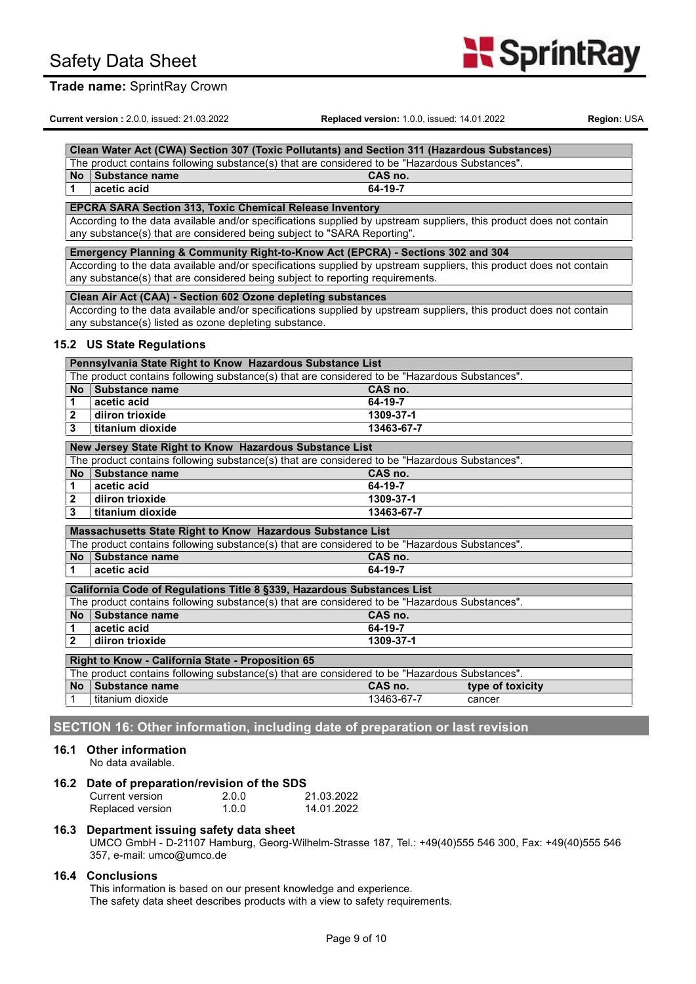# **Trade name:** SprintRay Crown

**Current version: 2.0.0, issued: 21.03.2022** 



**SprintRay** 

| Clean Water Act (CWA) Section 307 (Toxic Pollutants) and Section 311 (Hazardous Substances) |                                                                                               |         |  |  |  |
|---------------------------------------------------------------------------------------------|-----------------------------------------------------------------------------------------------|---------|--|--|--|
|                                                                                             | The product contains following substance(s) that are considered to be "Hazardous Substances". |         |  |  |  |
|                                                                                             | No Substance name                                                                             | CAS no. |  |  |  |
|                                                                                             | acetic acid                                                                                   | 64-19-7 |  |  |  |

# **EPCRA SARA Section 313, Toxic Chemical Release Inventory**

According to the data available and/or specifications supplied by upstream suppliers, this product does not contain any substance(s) that are considered being subject to "SARA Reporting".

**Emergency Planning & Community Right-to-Know Act (EPCRA) - Sections 302 and 304** According to the data available and/or specifications supplied by upstream suppliers, this product does not contain any substance(s) that are considered being subject to reporting requirements.

#### **Clean Air Act (CAA) - Section 602 Ozone depleting substances**

According to the data available and/or specifications supplied by upstream suppliers, this product does not contain any substance(s) listed as ozone depleting substance.

#### **15.2 US State Regulations**

| Pennsylvania State Right to Know Hazardous Substance List                                                                                                |                                                                                               |            |                  |  |  |  |
|----------------------------------------------------------------------------------------------------------------------------------------------------------|-----------------------------------------------------------------------------------------------|------------|------------------|--|--|--|
| The product contains following substance(s) that are considered to be "Hazardous Substances".                                                            |                                                                                               |            |                  |  |  |  |
| <b>No</b>                                                                                                                                                | Substance name                                                                                | CAS no.    |                  |  |  |  |
| 1                                                                                                                                                        | acetic acid                                                                                   | 64-19-7    |                  |  |  |  |
| $\overline{\mathbf{2}}$                                                                                                                                  | diiron trioxide                                                                               | 1309-37-1  |                  |  |  |  |
| 3                                                                                                                                                        | titanium dioxide                                                                              | 13463-67-7 |                  |  |  |  |
| New Jersey State Right to Know Hazardous Substance List                                                                                                  |                                                                                               |            |                  |  |  |  |
| The product contains following substance(s) that are considered to be "Hazardous Substances".                                                            |                                                                                               |            |                  |  |  |  |
| <b>No</b>                                                                                                                                                | Substance name                                                                                | CAS no.    |                  |  |  |  |
| 1                                                                                                                                                        | acetic acid                                                                                   | 64-19-7    |                  |  |  |  |
| 2                                                                                                                                                        | diiron trioxide                                                                               | 1309-37-1  |                  |  |  |  |
| 3                                                                                                                                                        | titanium dioxide                                                                              | 13463-67-7 |                  |  |  |  |
| Massachusetts State Right to Know Hazardous Substance List                                                                                               |                                                                                               |            |                  |  |  |  |
|                                                                                                                                                          | The product contains following substance(s) that are considered to be "Hazardous Substances". |            |                  |  |  |  |
|                                                                                                                                                          | No Substance name                                                                             | CAS no.    |                  |  |  |  |
| $\blacktriangleleft$                                                                                                                                     | acetic acid                                                                                   | 64-19-7    |                  |  |  |  |
| California Code of Regulations Title 8 §339, Hazardous Substances List                                                                                   |                                                                                               |            |                  |  |  |  |
| The product contains following substance(s) that are considered to be "Hazardous Substances".                                                            |                                                                                               |            |                  |  |  |  |
| <b>No</b>                                                                                                                                                | Substance name                                                                                | CAS no.    |                  |  |  |  |
| 1                                                                                                                                                        | acetic acid                                                                                   | 64-19-7    |                  |  |  |  |
| $\mathbf{2}$                                                                                                                                             | diiron trioxide                                                                               | 1309-37-1  |                  |  |  |  |
|                                                                                                                                                          |                                                                                               |            |                  |  |  |  |
|                                                                                                                                                          |                                                                                               |            |                  |  |  |  |
|                                                                                                                                                          | <b>Substance name</b>                                                                         | CAS no.    | type of toxicity |  |  |  |
|                                                                                                                                                          | titanium dioxide                                                                              | 13463-67-7 | cancer           |  |  |  |
| Right to Know - California State - Proposition 65<br>The product contains following substance(s) that are considered to be "Hazardous Substances".<br>No |                                                                                               |            |                  |  |  |  |

**SECTION 16: Other information, including date of preparation or last revision**

#### **16.1 Other information**

No data available.

#### **16.2 Date of preparation/revision of the SDS**

| Current version  | 2.0.0 | 21.03.2022 |  |  |
|------------------|-------|------------|--|--|
| Replaced version | 1.0.0 | 14.01.2022 |  |  |

#### **16.3 Department issuing safety data sheet**

UMCO GmbH - D-21107 Hamburg, Georg-Wilhelm-Strasse 187, Tel.: +49(40)555 546 300, Fax: +49(40)555 546 357, e-mail: umco@umco.de

#### **16.4 Conclusions**

This information is based on our present knowledge and experience. The safety data sheet describes products with a view to safety requirements.